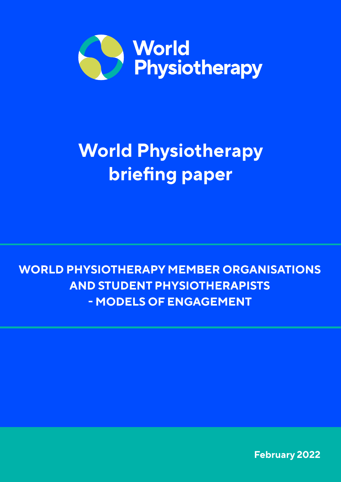

# **World Physiotherapy briefing paper**

**WORLD PHYSIOTHERAPY MEMBER ORGANISATIONS AND STUDENT PHYSIOTHERAPISTS - MODELS OF ENGAGEMENT**

**February 2022**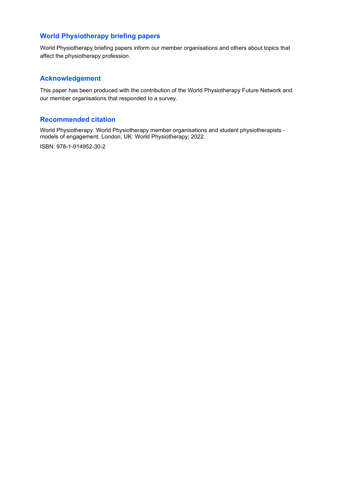### **World Physiotherapy briefing papers**

World Physiotherapy briefing papers inform our member organisations and others about topics that affect the physiotherapy profession.

### **Acknowledgement**

This paper has been produced with the contribution of the World Physiotherapy Future Network and our member organisations that responded to a survey.

### **Recommended citation**

World Physiotherapy. World Physiotherapy member organisations and student physiotherapists models of engagement. London, UK: World Physiotherapy; 2022.

ISBN: 978-1-914952-30-2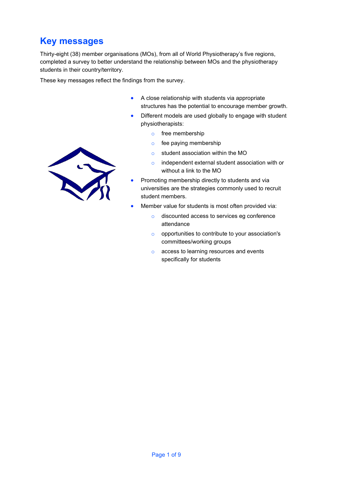## **Key messages**

Thirty-eight (38) member organisations (MOs), from all of World Physiotherapy's five regions, completed a survey to better understand the relationship between MOs and the physiotherapy students in their country/territory.

These key messages reflect the findings from the survey.

- A close relationship with students via appropriate structures has the potential to encourage member growth.
- Different models are used globally to engage with student physiotherapists:
	- o free membership
	- o fee paying membership
	- o student association within the MO
	- o independent external student association with or without a link to the MO
- Promoting membership directly to students and via universities are the strategies commonly used to recruit student members.
- Member value for students is most often provided via:
	- o discounted access to services eg conference attendance
	- o opportunities to contribute to your association's committees/working groups
	- o access to learning resources and events specifically for students

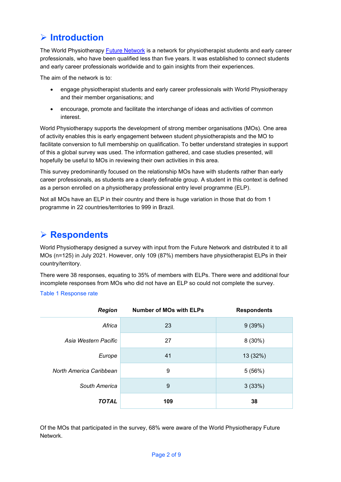## **Introduction**

The World Physiotherapy **Future Network** is a network for physiotherapist students and early career professionals, who have been qualified less than five years. It was established to connect students and early career professionals worldwide and to gain insights from their experiences.

The aim of the network is to:

- engage physiotherapist students and early career professionals with World Physiotherapy and their member organisations; and
- encourage, promote and facilitate the interchange of ideas and activities of common interest.

World Physiotherapy supports the development of strong member organisations (MOs). One area of activity enables this is early engagement between student physiotherapists and the MO to facilitate conversion to full membership on qualification. To better understand strategies in support of this a global survey was used. The information gathered, and case studies presented, will hopefully be useful to MOs in reviewing their own activities in this area.

This survey predominantly focused on the relationship MOs have with students rather than early career professionals, as students are a clearly definable group. A student in this context is defined as a person enrolled on a physiotherapy professional entry level programme (ELP).

Not all MOs have an ELP in their country and there is huge variation in those that do from 1 programme in 22 countries/territories to 999 in Brazil.

### **Respondents**

World Physiotherapy designed a survey with input from the Future Network and distributed it to all MOs (n=125) in July 2021. However, only 109 (87%) members have physiotherapist ELPs in their country/territory.

There were 38 responses, equating to 35% of members with ELPs. There were and additional four incomplete responses from MOs who did not have an ELP so could not complete the survey.

### Table 1 Response rate

| <b>Region</b>           | <b>Number of MOs with ELPs</b> | <b>Respondents</b> |
|-------------------------|--------------------------------|--------------------|
| Africa                  | 23                             | 9(39%)             |
| Asia Western Pacific    | 27                             | $8(30\%)$          |
| Europe                  | 41                             | 13 (32%)           |
| North America Caribbean | 9                              | 5(56%)             |
| South America           | 9                              | 3(33%)             |
| <b>TOTAL</b>            | 109                            | 38                 |

Of the MOs that participated in the survey, 68% were aware of the World Physiotherapy Future Network.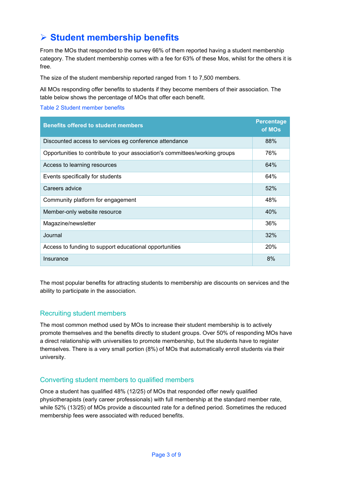## **Student membership benefits**

From the MOs that responded to the survey 66% of them reported having a student membership category. The student membership comes with a fee for 63% of these Mos, whilst for the others it is free.

The size of the student membership reported ranged from 1 to 7,500 members.

All MOs responding offer benefits to students if they become members of their association. The table below shows the percentage of MOs that offer each benefit.

#### Table 2 Student member benefits

| <b>Benefits offered to student members</b>                                  | <b>Percentage</b><br>of MOs |
|-----------------------------------------------------------------------------|-----------------------------|
| Discounted access to services eg conference attendance                      | 88%                         |
| Opportunities to contribute to your association's committees/working groups | 76%                         |
| Access to learning resources                                                | 64%                         |
| Events specifically for students                                            | 64%                         |
| Careers advice                                                              | 52%                         |
| Community platform for engagement                                           | 48%                         |
| Member-only website resource                                                | 40%                         |
| Magazine/newsletter                                                         | 36%                         |
| Journal                                                                     | 32%                         |
| Access to funding to support educational opportunities                      | 20%                         |
| Insurance                                                                   | 8%                          |

The most popular benefits for attracting students to membership are discounts on services and the ability to participate in the association.

### Recruiting student members

The most common method used by MOs to increase their student membership is to actively promote themselves and the benefits directly to student groups. Over 50% of responding MOs have a direct relationship with universities to promote membership, but the students have to register themselves. There is a very small portion (8%) of MOs that automatically enroll students via their university.

### Converting student members to qualified members

Once a student has qualified 48% (12/25) of MOs that responded offer newly qualified physiotherapists (early career professionals) with full membership at the standard member rate, while 52% (13/25) of MOs provide a discounted rate for a defined period. Sometimes the reduced membership fees were associated with reduced benefits.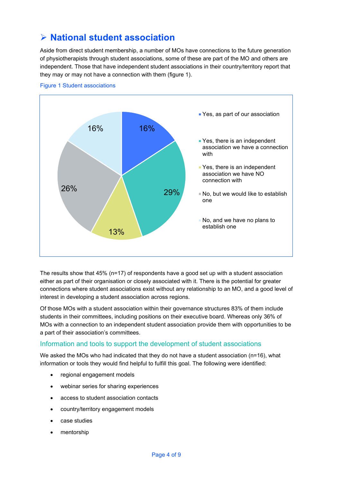## **National student association**

Aside from direct student membership, a number of MOs have connections to the future generation of physiotherapists through student associations, some of these are part of the MO and others are independent. Those that have independent student associations in their country/territory report that they may or may not have a connection with them (figure 1).



Figure 1 Student associations

The results show that 45% (n=17) of respondents have a good set up with a student association either as part of their organisation or closely associated with it. There is the potential for greater connections where student associations exist without any relationship to an MO, and a good level of interest in developing a student association across regions.

Of those MOs with a student association within their governance structures 83% of them include students in their committees, including positions on their executive board. Whereas only 36% of MOs with a connection to an independent student association provide them with opportunities to be a part of their association's committees.

### Information and tools to support the development of student associations

We asked the MOs who had indicated that they do not have a student association (n=16), what information or tools they would find helpful to fulfill this goal. The following were identified:

- regional engagement models
- webinar series for sharing experiences
- access to student association contacts
- country/territory engagement models
- case studies
- mentorship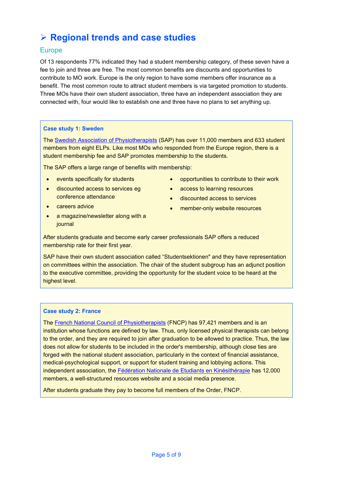# **Regional trends and case studies**

### Europe

Of 13 respondents 77% indicated they had a student membership category, of these seven have a fee to join and three are free. The most common benefits are discounts and opportunities to contribute to MO work. Europe is the only region to have some members offer insurance as a benefit. The most common route to attract student members is via targeted promotion to students. Three MOs have their own student association, three have an independent association they are connected with, four would like to establish one and three have no plans to set anything up.

### **Case study 1: Sweden**

The [Swedish Association of Physiotherapists](https://world.physio/membership/sweden) (SAP) has over 11,000 members and 633 student members from eight ELPs. Like most MOs who responded from the Europe region, there is a student membership fee and SAP promotes membership to the students.

The SAP offers a large range of benefits with membership:

- events specifically for students
- discounted access to services eg conference attendance
- careers advice
- a magazine/newsletter along with a journal
- opportunities to contribute to their work
- access to learning resources
- discounted access to services
- member-only website resources

After students graduate and become early career professionals SAP offers a reduced membership rate for their first year.

SAP have their own student association called "Studentsektionen" and they have representation on committees within the association. The chair of the student subgroup has an adjunct position to the executive committee, providing the opportunity for the student voice to be heard at the highest level.

### **Case study 2: France**

The [French National Council of Physiotherapists](https://world.physio/membership/france) (FNCP) has 97,421 members and is an institution whose functions are defined by law. Thus, only licensed physical therapists can belong to the order, and they are required to join after graduation to be allowed to practice. Thus, the law does not allow for students to be included in the order's membership, although close ties are forged with the national student association, particularly in the context of financial assistance, medical-psychological support, or support for student training and lobbying actions. This independent association, the [Fédération Nationale de Etudiants en Kinésithérapie](http://www.fnek.fr/) has 12,000 members, a well-structured resources website and a social media presence.

After students graduate they pay to become full members of the Order, FNCP.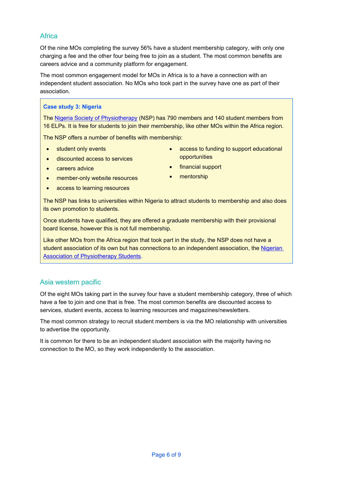### **Africa**

Of the nine MOs completing the survey 56% have a student membership category, with only one charging a fee and the other four being free to join as a student. The most common benefits are careers advice and a community platform for engagement.

The most common engagement model for MOs in Africa is to a have a connection with an independent student association. No MOs who took part in the survey have one as part of their association.

### **Case study 3: Nigeria**

The [Nigeria Society of Physiotherapy](https://world.physio/membership/nigeria) (NSP) has 790 members and 140 student members from 16 ELPs. It is free for students to join their membership, like other MOs within the Africa region.

The NSP offers a number of benefits with membership:

- student only events
- discounted access to services
- careers advice
- member-only website resources
- access to learning resources
- access to funding to support educational opportunities
- financial support
- mentorship

The NSP has links to universities within Nigeria to attract students to membership and also does its own promotion to students.

Once students have qualified, they are offered a graduate membership with their provisional board license, however this is not full membership.

Like other MOs from the Africa region that took part in the study, the NSP does not have a student association of its own but has connections to an independent association, the [Nigerian](https://www.nigaps.org/)  **Association of Physiotherapy Students.** 

### Asia western pacific

Of the eight MOs taking part in the survey four have a student membership category, three of which have a fee to join and one that is free. The most common benefits are discounted access to services, student events, access to learning resources and magazines/newsletters.

The most common strategy to recruit student members is via the MO relationship with universities to advertise the opportunity.

It is common for there to be an independent student association with the majority having no connection to the MO, so they work independently to the association.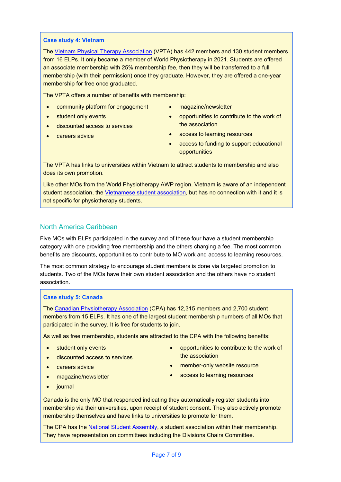### **Case study 4: Vietnam**

The [Vietnam Physical Therapy Association](https://world.physio/membership/vietnam) (VPTA) has 442 members and 130 student members from 16 ELPs. It only became a member of World Physiotherapy in 2021. Students are offered an associate membership with 25% membership fee, then they will be transferred to a full membership (with their permission) once they graduate. However, they are offered a one-year membership for free once graduated.

The VPTA offers a number of benefits with membership:

- community platform for engagement
- student only events
- discounted access to services
- careers advice
- magazine/newsletter
- opportunities to contribute to the work of the association
- access to learning resources
- access to funding to support educational opportunities

The VPTA has links to universities within Vietnam to attract students to membership and also does its own promotion.

Like other MOs from the World Physiotherapy AWP region, Vietnam is aware of an independent student association, the [Vietnamese student association,](http://hoisinhvien.com.vn/) but has no connection with it and it is not specific for physiotherapy students.

### North America Caribbean

Five MOs with ELPs participated in the survey and of these four have a student membership category with one providing free membership and the others charging a fee. The most common benefits are discounts, opportunities to contribute to MO work and access to learning resources.

The most common strategy to encourage student members is done via targeted promotion to students. Two of the MOs have their own student association and the others have no student association.

### **Case study 5: Canada**

The [Canadian Physiotherapy Association](https://world.physio/membership/canada) (CPA) has 12,315 members and 2,700 student members from 15 ELPs. It has one of the largest student membership numbers of all MOs that participated in the survey. It is free for students to join.

As well as free membership, students are attracted to the CPA with the following benefits:

- student only events
- discounted access to services
- careers advice
- magazine/newsletter
- opportunities to contribute to the work of the association
- member-only website resource
- access to learning resources

• journal

Canada is the only MO that responded indicating they automatically register students into membership via their universities, upon receipt of student consent. They also actively promote membership themselves and have links to universities to promote for them.

The CPA has the [National Student Assembly,](https://physiotherapy.ca/national-student-assembly) a student association within their membership. They have representation on committees including the Divisions Chairs Committee.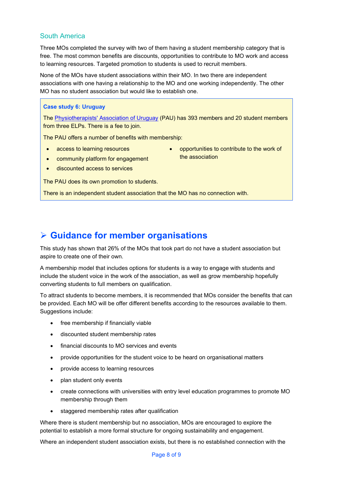### South America

Three MOs completed the survey with two of them having a student membership category that is free. The most common benefits are discounts, opportunities to contribute to MO work and access to learning resources. Targeted promotion to students is used to recruit members.

None of the MOs have student associations within their MO. In two there are independent associations with one having a relationship to the MO and one working independently. The other MO has no student association but would like to establish one.

### **Case study 6: Uruguay**

The [Physiotherapists' Association of Uruguay](https://world.physio/membership/uruguay) (PAU) has 393 members and 20 student members from three ELPs. There is a fee to join.

The PAU offers a number of benefits with membership:

- access to learning resources
- opportunities to contribute to the work of the association
- discounted access to services

The PAU does its own promotion to students.

• community platform for engagement

There is an independent student association that the MO has no connection with.

### **Guidance for member organisations**

This study has shown that 26% of the MOs that took part do not have a student association but aspire to create one of their own.

A membership model that includes options for students is a way to engage with students and include the student voice in the work of the association, as well as grow membership hopefully converting students to full members on qualification.

To attract students to become members, it is recommended that MOs consider the benefits that can be provided. Each MO will be offer different benefits according to the resources available to them. Suggestions include:

- free membership if financially viable
- discounted student membership rates
- financial discounts to MO services and events
- provide opportunities for the student voice to be heard on organisational matters
- provide access to learning resources
- plan student only events
- create connections with universities with entry level education programmes to promote MO membership through them
- staggered membership rates after qualification

Where there is student membership but no association, MOs are encouraged to explore the potential to establish a more formal structure for ongoing sustainability and engagement.

Where an independent student association exists, but there is no established connection with the